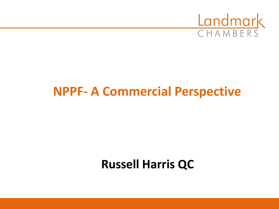

# **NPPF- A Commercial Perspective**

# **Russell Harris QC**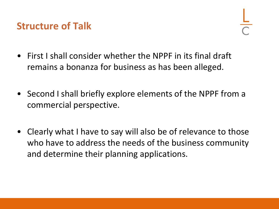### **Structure of Talk**

- First I shall consider whether the NPPF in its final draft remains a bonanza for business as has been alleged.
- Second I shall briefly explore elements of the NPPF from a commercial perspective.
- Clearly what I have to say will also be of relevance to those who have to address the needs of the business community and determine their planning applications.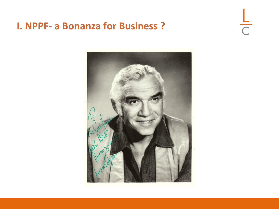#### **I. NPPF- a Bonanza for Business ?**

 $rac{L}{C}$ 

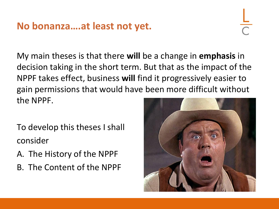### **No bonanza….at least not yet.**

My main theses is that there **will** be a change in **emphasis** in decision taking in the short term. But that as the impact of the NPPF takes effect, business **will** find it progressively easier to gain permissions that would have been more difficult without the NPPF.

- To develop this theses I shall consider
- A. The History of the NPPF
- B. The Content of the NPPF

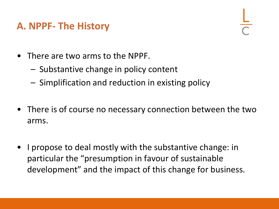### **A. NPPF- The History**

- There are two arms to the NPPF.
	- Substantive change in policy content
	- Simplification and reduction in existing policy
- There is of course no necessary connection between the two arms.
- I propose to deal mostly with the substantive change: in particular the "presumption in favour of sustainable development" and the impact of this change for business.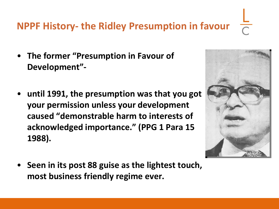## **NPPF History- the Ridley Presumption in favour**

- **The former "Presumption in Favour of Development"-**
- **until 1991, the presumption was that you got your permission unless your development caused "demonstrable harm to interests of acknowledged importance." (PPG 1 Para 15 1988).**
- **Seen in its post 88 guise as the lightest touch, most business friendly regime ever.**

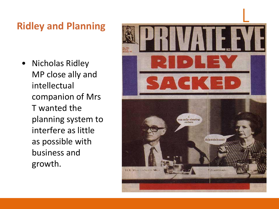### **Ridley and Planning**

• Nicholas Ridley MP close ally and intellectual companion of Mrs T wanted the planning system to interfere as little as possible with business and growth.

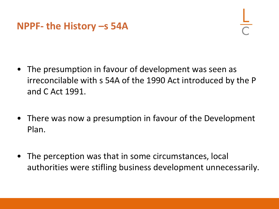#### **NPPF- the History –s 54A**

- The presumption in favour of development was seen as irreconcilable with s 54A of the 1990 Act introduced by the P and C Act 1991.
- There was now a presumption in favour of the Development Plan.
- The perception was that in some circumstances, local authorities were stifling business development unnecessarily.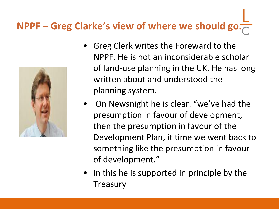# **NPPF – Greg Clarke's view of where we should go.**



- Greg Clerk writes the Foreward to the NPPF. He is not an inconsiderable scholar of land-use planning in the UK. He has long written about and understood the planning system.
- On Newsnight he is clear: "we've had the presumption in favour of development, then the presumption in favour of the Development Plan, it time we went back to something like the presumption in favour of development."
- In this he is supported in principle by the **Treasury**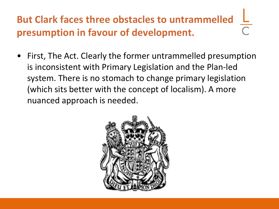# **But Clark faces three obstacles to untrammelled presumption in favour of development.**

• First, The Act. Clearly the former untrammelled presumption is inconsistent with Primary Legislation and the Plan-led system. There is no stomach to change primary legislation (which sits better with the concept of localism). A more nuanced approach is needed.

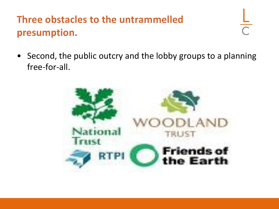# **Three obstacles to the untrammelled presumption.**

• Second, the public outcry and the lobby groups to a planning free-for-all.

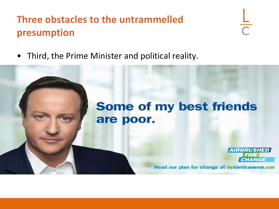## **Three obstacles to the untrammelled presumption**

 $\frac{L}{C}$ 

• Third, the Prime Minister and political reality.

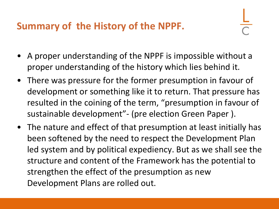## **Summary of the History of the NPPF.**

- A proper understanding of the NPPF is impossible without a proper understanding of the history which lies behind it.
- There was pressure for the former presumption in favour of development or something like it to return. That pressure has resulted in the coining of the term, "presumption in favour of sustainable development"- (pre election Green Paper ).
- The nature and effect of that presumption at least initially has been softened by the need to respect the Development Plan led system and by political expediency. But as we shall see the structure and content of the Framework has the potential to strengthen the effect of the presumption as new Development Plans are rolled out.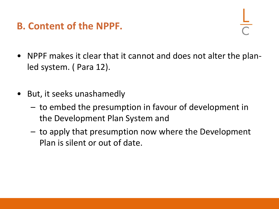### **B. Content of the NPPF.**

- 
- NPPF makes it clear that it cannot and does not alter the planled system. ( Para 12).
- But, it seeks unashamedly
	- to embed the presumption in favour of development in the Development Plan System and
	- to apply that presumption now where the Development Plan is silent or out of date.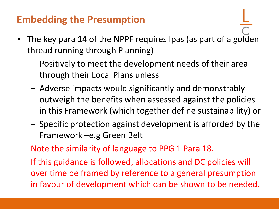## **Embedding the Presumption**

- The key para 14 of the NPPF requires lpas (as part of a golden thread running through Planning)
	- Positively to meet the development needs of their area through their Local Plans unless
	- Adverse impacts would significantly and demonstrably outweigh the benefits when assessed against the policies in this Framework (which together define sustainability) or
	- Specific protection against development is afforded by the Framework –e.g Green Belt

Note the similarity of language to PPG 1 Para 18.

If this guidance is followed, allocations and DC policies will over time be framed by reference to a general presumption in favour of development which can be shown to be needed.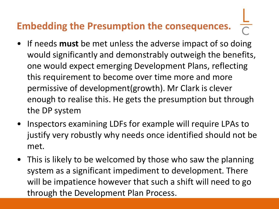# **Embedding the Presumption the consequences.**

- If needs **must** be met unless the adverse impact of so doing would significantly and demonstrably outweigh the benefits, one would expect emerging Development Plans, reflecting this requirement to become over time more and more permissive of development(growth). Mr Clark is clever enough to realise this. He gets the presumption but through the DP system
- Inspectors examining LDFs for example will require LPAs to justify very robustly why needs once identified should not be met.
- This is likely to be welcomed by those who saw the planning system as a significant impediment to development. There will be impatience however that such a shift will need to go through the Development Plan Process.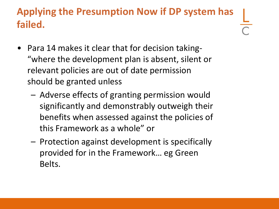## **Applying the Presumption Now if DP system has failed.**

- Para 14 makes it clear that for decision taking- "where the development plan is absent, silent or relevant policies are out of date permission should be granted unless
	- Adverse effects of granting permission would significantly and demonstrably outweigh their benefits when assessed against the policies of this Framework as a whole" or
	- Protection against development is specifically provided for in the Framework… eg Green Belts.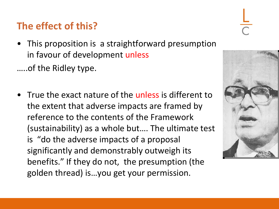## **The effect of this?**

• This proposition is a straightforward presumption in favour of development unless

…..of the Ridley type.

• True the exact nature of the unless is different to the extent that adverse impacts are framed by reference to the contents of the Framework (sustainability) as a whole but…. The ultimate test is "do the adverse impacts of a proposal significantly and demonstrably outweigh its benefits." If they do not, the presumption (the golden thread) is…you get your permission.



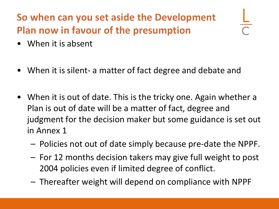# **So when can you set aside the Development Plan now in favour of the presumption**

- When it is absent
- When it is silent- a matter of fact degree and debate and
- When it is out of date. This is the tricky one. Again whether a Plan is out of date will be a matter of fact, degree and judgment for the decision maker but some guidance is set out in Annex 1
	- Policies not out of date simply because pre-date the NPPF.
	- For 12 months decision takers may give full weight to post 2004 policies even if limited degree of conflict.
	- Thereafter weight will depend on compliance with NPPF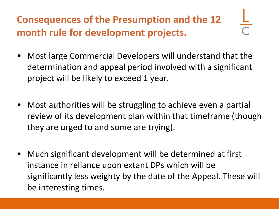# **Consequences of the Presumption and the 12 month rule for development projects.**

- Most large Commercial Developers will understand that the determination and appeal period involved with a significant project will be likely to exceed 1 year.
- Most authorities will be struggling to achieve even a partial review of its development plan within that timeframe (though they are urged to and some are trying).
- Much significant development will be determined at first instance in reliance upon extant DPs which will be significantly less weighty by the date of the Appeal. These will be interesting times.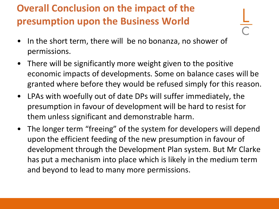# **Overall Conclusion on the impact of the presumption upon the Business World**

- In the short term, there will be no bonanza, no shower of permissions.
- There will be significantly more weight given to the positive economic impacts of developments. Some on balance cases will be granted where before they would be refused simply for this reason.
- LPAs with woefully out of date DPs will suffer immediately, the presumption in favour of development will be hard to resist for them unless significant and demonstrable harm.
- The longer term "freeing" of the system for developers will depend upon the efficient feeding of the new presumption in favour of development through the Development Plan system. But Mr Clarke has put a mechanism into place which is likely in the medium term and beyond to lead to many more permissions.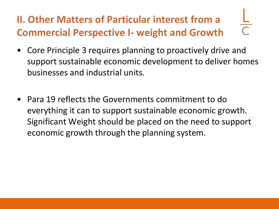# **II. Other Matters of Particular interest from a Commercial Perspective I- weight and Growth**

- Core Principle 3 requires planning to proactively drive and support sustainable economic development to deliver homes businesses and industrial units.
- Para 19 reflects the Governments commitment to do everything it can to support sustainable economic growth. Significant Weight should be placed on the need to support economic growth through the planning system.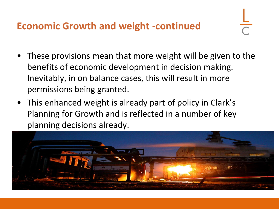### **Economic Growth and weight -continued**

- These provisions mean that more weight will be given to the benefits of economic development in decision making. Inevitably, in on balance cases, this will result in more permissions being granted.
- This enhanced weight is already part of policy in Clark's Planning for Growth and is reflected in a number of key planning decisions already.

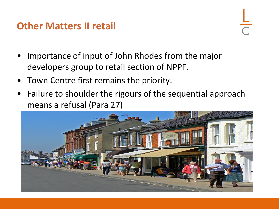#### **Other Matters II retail**

- Importance of input of John Rhodes from the major developers group to retail section of NPPF.
- Town Centre first remains the priority.
- Failure to shoulder the rigours of the sequential approach means a refusal (Para 27)

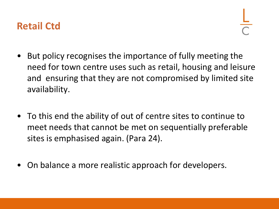#### **Retail Ctd**

- But policy recognises the importance of fully meeting the need for town centre uses such as retail, housing and leisure and ensuring that they are not compromised by limited site availability.
- To this end the ability of out of centre sites to continue to meet needs that cannot be met on sequentially preferable sites is emphasised again. (Para 24).
- On balance a more realistic approach for developers.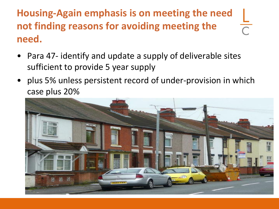**Housing-Again emphasis is on meeting the need**   $\frac{1}{\sqrt{2}}$ **not finding reasons for avoiding meeting the need.**

- Para 47- identify and update a supply of deliverable sites sufficient to provide 5 year supply
- plus 5% unless persistent record of under-provision in which case plus 20%

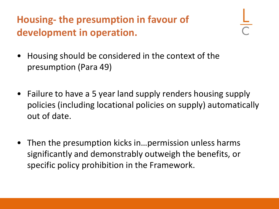## **Housing- the presumption in favour of development in operation.**

- Housing should be considered in the context of the presumption (Para 49)
- Failure to have a 5 year land supply renders housing supply policies (including locational policies on supply) automatically out of date.
- Then the presumption kicks in... permission unless harms significantly and demonstrably outweigh the benefits, or specific policy prohibition in the Framework.